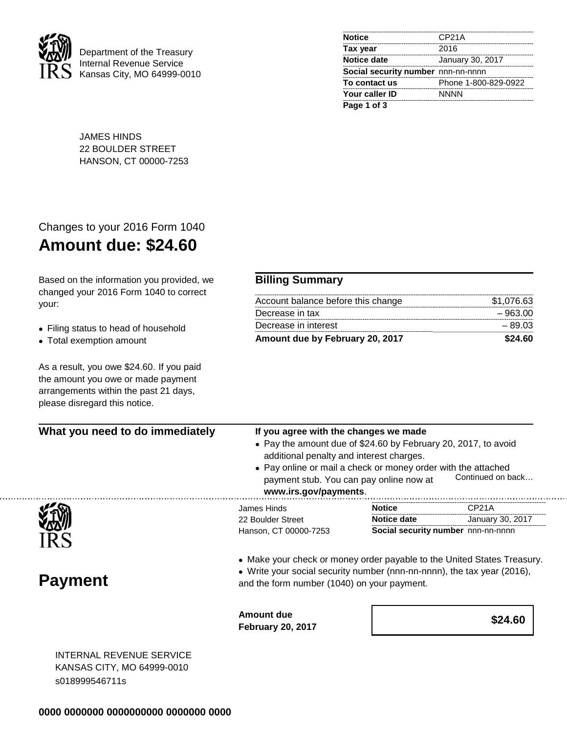

Department of the Treasury Internal Revenue Service Kansas City, MO 64999-0010

| <b>Notice</b>                      | CP <sub>21</sub> A   |
|------------------------------------|----------------------|
| Tax year                           | 2016                 |
| <b>Notice date</b>                 | January 30, 2017     |
| Social security number nnn-nn-nnnn |                      |
| To contact us                      | Phone 1-800-829-0922 |
| Your caller ID                     | <b>NNNN</b>          |
| Page 1 of 3                        |                      |

JAMES HINDS 22 BOULDER STREET HANSON, CT 00000-7253

## Changes to your 2016 Form 1040 **Amount due: \$24.60**

Based on the information you provided, we changed your 2016 Form 1040 to correct your:

## • Filing status to head of household

• Total exemption amount

. . . . . . . . . . . .

As a result, you owe \$24.60. If you paid the amount you owe or made payment arrangements within the past 21 days, please disregard this notice.

## **Billing Summary**

| Amount due by February 20, 2017    | \$24.60    |
|------------------------------------|------------|
| Decrease in interest               | $-89.03$   |
| Decrease in tax                    | - 963.00   |
| Account balance before this change | \$1.076.63 |

 $1.1.1.$ 

| What you need to do immediately | If you agree with the changes we made<br>• Pay the amount due of \$24.60 by February 20, 2017, to avoid<br>additional penalty and interest charges.<br>• Pay online or mail a check or money order with the attached<br>Continued on back<br>payment stub. You can pay online now at<br>www.irs.gov/payments. |                                    |                    |
|---------------------------------|---------------------------------------------------------------------------------------------------------------------------------------------------------------------------------------------------------------------------------------------------------------------------------------------------------------|------------------------------------|--------------------|
|                                 | James Hinds                                                                                                                                                                                                                                                                                                   | <b>Notice</b>                      | CP <sub>21</sub> A |
|                                 | 22 Boulder Street                                                                                                                                                                                                                                                                                             | Notice date                        | January 30, 2017   |
|                                 | Hanson, CT 00000-7253                                                                                                                                                                                                                                                                                         | Social security number nnn-nn-nnnn |                    |
| <b>Payment</b>                  | • Make your check or money order payable to the United States Treasury.<br>• Write your social security number (nnn-nn-nnnn), the tax year (2016),<br>and the form number (1040) on your payment.                                                                                                             |                                    |                    |
|                                 | <b>Amount due</b><br><b>February 20, 2017</b>                                                                                                                                                                                                                                                                 |                                    | \$24.60            |
|                                 |                                                                                                                                                                                                                                                                                                               |                                    |                    |

INTERNAL REVENUE SERVICE KANSAS CITY, MO 64999-0010 s018999546711s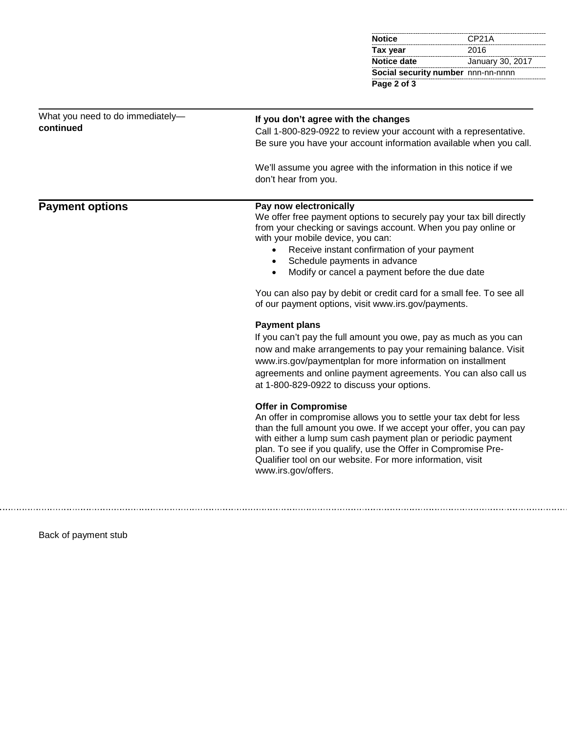| <b>Notice</b>                      | CP <sub>21</sub> A |
|------------------------------------|--------------------|
| Tax year                           | 2016               |
| Notice date                        | January 30, 2017   |
| Social security number nnn-nn-nnnn |                    |
| Page 2 of 3                        |                    |

| What you need to do immediately-<br>continued | If you don't agree with the changes<br>Call 1-800-829-0922 to review your account with a representative.<br>Be sure you have your account information available when you call.<br>We'll assume you agree with the information in this notice if we                                                                                                                                                                                                                                                                                                                                                                                                                                                                                      |
|-----------------------------------------------|-----------------------------------------------------------------------------------------------------------------------------------------------------------------------------------------------------------------------------------------------------------------------------------------------------------------------------------------------------------------------------------------------------------------------------------------------------------------------------------------------------------------------------------------------------------------------------------------------------------------------------------------------------------------------------------------------------------------------------------------|
| <b>Payment options</b>                        | don't hear from you.<br>Pay now electronically<br>We offer free payment options to securely pay your tax bill directly<br>from your checking or savings account. When you pay online or<br>with your mobile device, you can:<br>Receive instant confirmation of your payment<br>$\bullet$<br>Schedule payments in advance<br>Modify or cancel a payment before the due date<br>You can also pay by debit or credit card for a small fee. To see all<br>of our payment options, visit www.irs.gov/payments.<br><b>Payment plans</b><br>If you can't pay the full amount you owe, pay as much as you can<br>now and make arrangements to pay your remaining balance. Visit<br>www.irs.gov/paymentplan for more information on installment |
|                                               | agreements and online payment agreements. You can also call us<br>at 1-800-829-0922 to discuss your options.<br><b>Offer in Compromise</b><br>An offer in compromise allows you to settle your tax debt for less<br>than the full amount you owe. If we accept your offer, you can pay<br>with either a lump sum cash payment plan or periodic payment<br>plan. To see if you qualify, use the Offer in Compromise Pre-<br>Qualifier tool on our website. For more information, visit<br>www.irs.gov/offers.                                                                                                                                                                                                                            |

Back of payment stub